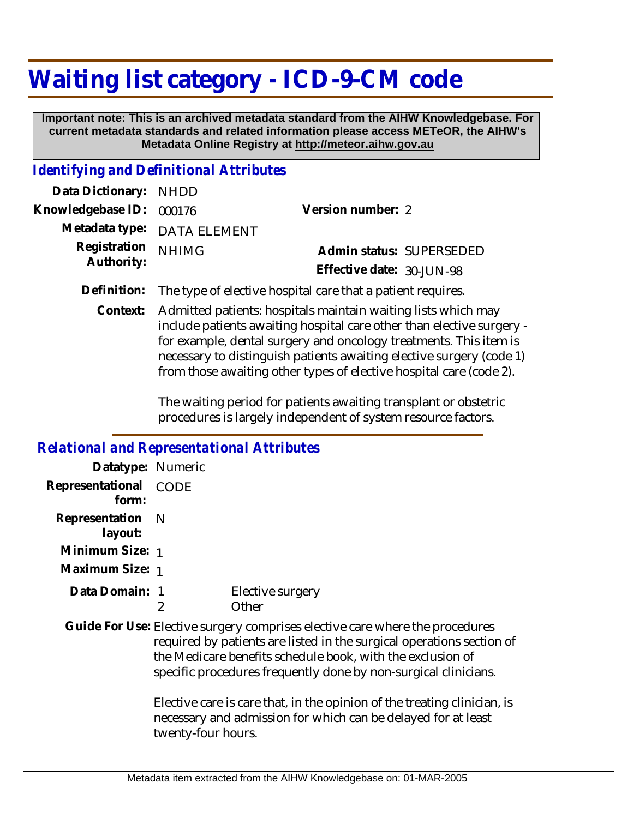## **Waiting list category - ICD-9-CM code**

 **Important note: This is an archived metadata standard from the AIHW Knowledgebase. For current metadata standards and related information please access METeOR, the AIHW's Metadata Online Registry at http://meteor.aihw.gov.au**

## *Identifying and Definitional Attributes*

| Data Dictionary: NHDD    |                             |                           |  |
|--------------------------|-----------------------------|---------------------------|--|
| Knowledgebase ID: 000176 |                             | Version number: 2         |  |
|                          | Metadata type: DATA ELEMENT |                           |  |
| Registration             | <b>NHIMG</b>                | Admin status: SUPERSEDED  |  |
| Authority:               |                             | Effective date: 30-JUN-98 |  |
|                          |                             |                           |  |

**Definition:** The type of elective hospital care that a patient requires.

Admitted patients: hospitals maintain waiting lists which may include patients awaiting hospital care other than elective surgery for example, dental surgery and oncology treatments. This item is necessary to distinguish patients awaiting elective surgery (code 1) from those awaiting other types of elective hospital care (code 2). **Context:**

> The waiting period for patients awaiting transplant or obstetric procedures is largely independent of system resource factors.

## *Relational and Representational Attributes* **Datatype:** Numeric **Representational** CODE  **form: Representation** N  **layout: Minimum Size:** 1 **Maximum Size:** 1 1 **Data Domain:** $\mathfrak{D}$ Elective surgery **Other** Guide For Use: Elective surgery comprises elective care where the procedures required by patients are listed in the surgical operations section of the Medicare benefits schedule book, with the exclusion of specific procedures frequently done by non-surgical clinicians. Elective care is care that, in the opinion of the treating clinician, is necessary and admission for which can be delayed for at least twenty-four hours.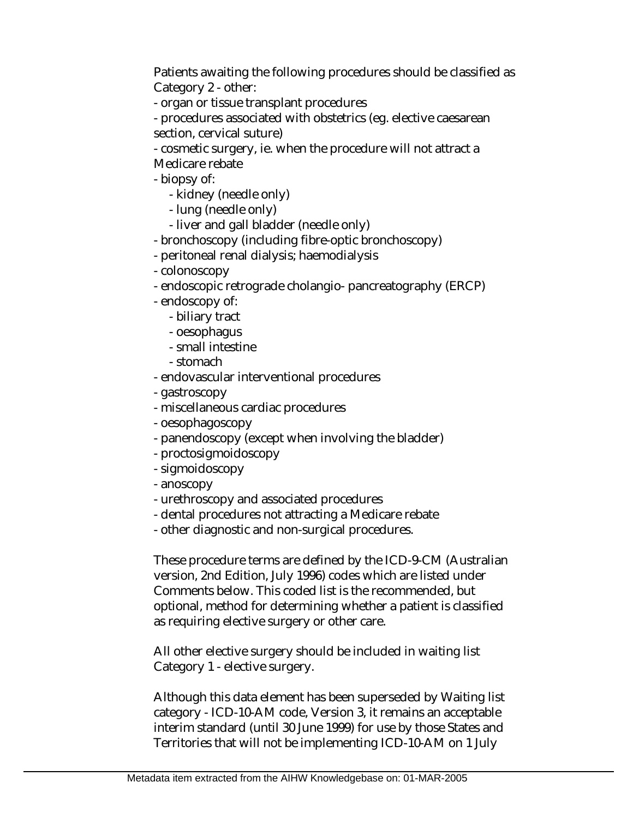Patients awaiting the following procedures should be classified as Category 2 - other:

- organ or tissue transplant procedures

- procedures associated with obstetrics (eg. elective caesarean section, cervical suture)

- cosmetic surgery, ie. when the procedure will not attract a Medicare rebate

- biopsy of:

- kidney (needle only)

- lung (needle only)
- liver and gall bladder (needle only)
- bronchoscopy (including fibre-optic bronchoscopy)
- peritoneal renal dialysis; haemodialysis
- colonoscopy
- endoscopic retrograde cholangio- pancreatography (ERCP)
- endoscopy of:
	- biliary tract
	- oesophagus
	- small intestine
	- stomach
- endovascular interventional procedures
- gastroscopy
- miscellaneous cardiac procedures
- oesophagoscopy
- panendoscopy (except when involving the bladder)
- proctosigmoidoscopy
- sigmoidoscopy
- anoscopy
- urethroscopy and associated procedures
- dental procedures not attracting a Medicare rebate
- other diagnostic and non-surgical procedures.

These procedure terms are defined by the ICD-9-CM (Australian version, 2nd Edition, July 1996) codes which are listed under Comments below. This coded list is the recommended, but optional, method for determining whether a patient is classified as requiring elective surgery or other care.

All other elective surgery should be included in waiting list Category 1 - elective surgery.

Although this data element has been superseded by Waiting list category - ICD-10-AM code, Version 3, it remains an acceptable interim standard (until 30 June 1999) for use by those States and Territories that will not be implementing ICD-10-AM on 1 July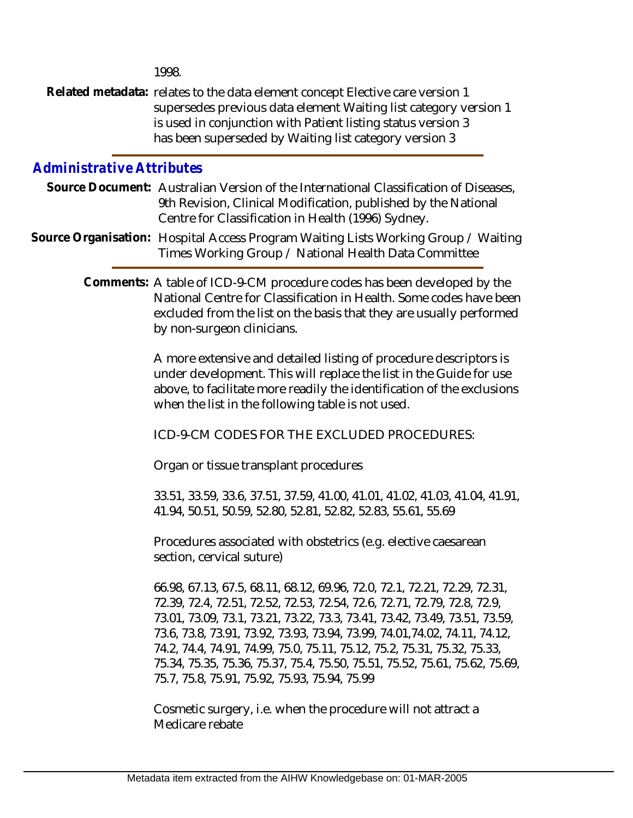1998.

Related metadata: relates to the data element concept Elective care version 1 supersedes previous data element Waiting list category version 1 is used in conjunction with Patient listing status version 3 has been superseded by Waiting list category version 3

## *Administrative Attributes*

- Source Document: Australian Version of the International Classification of Diseases, 9th Revision, Clinical Modification, published by the National Centre for Classification in Health (1996) Sydney.
- Source Organisation: Hospital Access Program Waiting Lists Working Group / Waiting Times Working Group / National Health Data Committee

Comments: A table of ICD-9-CM procedure codes has been developed by the National Centre for Classification in Health. Some codes have been excluded from the list on the basis that they are usually performed by non-surgeon clinicians.

> A more extensive and detailed listing of procedure descriptors is under development. This will replace the list in the Guide for use above, to facilitate more readily the identification of the exclusions when the list in the following table is not used.

ICD-9-CM CODES FOR THE EXCLUDED PROCEDURES:

Organ or tissue transplant procedures

33.51, 33.59, 33.6, 37.51, 37.59, 41.00, 41.01, 41.02, 41.03, 41.04, 41.91, 41.94, 50.51, 50.59, 52.80, 52.81, 52.82, 52.83, 55.61, 55.69

Procedures associated with obstetrics (e.g. elective caesarean section, cervical suture)

66.98, 67.13, 67.5, 68.11, 68.12, 69.96, 72.0, 72.1, 72.21, 72.29, 72.31, 72.39, 72.4, 72.51, 72.52, 72.53, 72.54, 72.6, 72.71, 72.79, 72.8, 72.9, 73.01, 73.09, 73.1, 73.21, 73.22, 73.3, 73.41, 73.42, 73.49, 73.51, 73.59, 73.6, 73.8, 73.91, 73.92, 73.93, 73.94, 73.99, 74.01,74.02, 74.11, 74.12, 74.2, 74.4, 74.91, 74.99, 75.0, 75.11, 75.12, 75.2, 75.31, 75.32, 75.33, 75.34, 75.35, 75.36, 75.37, 75.4, 75.50, 75.51, 75.52, 75.61, 75.62, 75.69, 75.7, 75.8, 75.91, 75.92, 75.93, 75.94, 75.99

Cosmetic surgery, i.e. when the procedure will not attract a Medicare rebate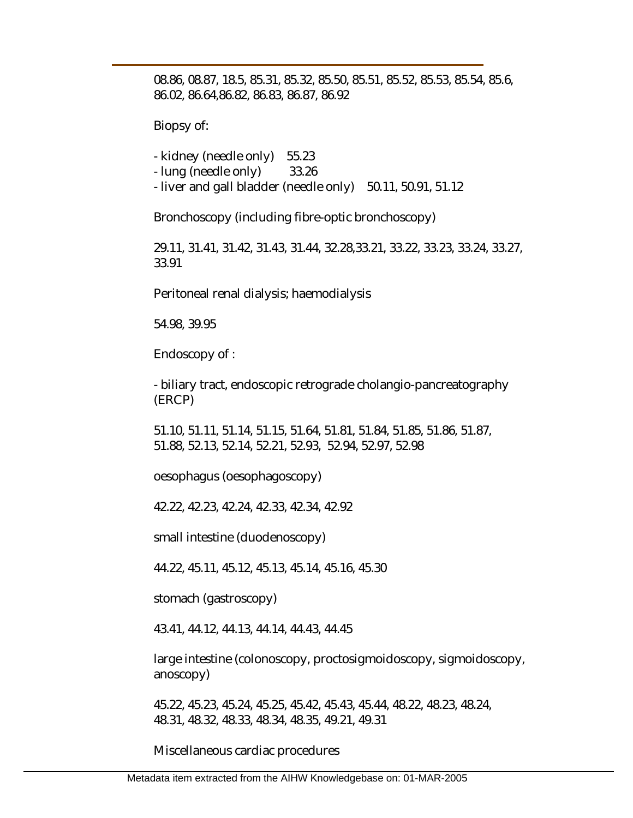08.86, 08.87, 18.5, 85.31, 85.32, 85.50, 85.51, 85.52, 85.53, 85.54, 85.6, 86.02, 86.64,86.82, 86.83, 86.87, 86.92

Biopsy of:

- kidney (needle only) 55.23

- lung (needle only) 33.26

- liver and gall bladder (needle only) 50.11, 50.91, 51.12

Bronchoscopy (including fibre-optic bronchoscopy)

29.11, 31.41, 31.42, 31.43, 31.44, 32.28,33.21, 33.22, 33.23, 33.24, 33.27, 33.91

Peritoneal renal dialysis; haemodialysis

54.98, 39.95

Endoscopy of :

- biliary tract, endoscopic retrograde cholangio-pancreatography (ERCP)

51.10, 51.11, 51.14, 51.15, 51.64, 51.81, 51.84, 51.85, 51.86, 51.87, 51.88, 52.13, 52.14, 52.21, 52.93, 52.94, 52.97, 52.98

oesophagus (oesophagoscopy)

42.22, 42.23, 42.24, 42.33, 42.34, 42.92

small intestine (duodenoscopy)

44.22, 45.11, 45.12, 45.13, 45.14, 45.16, 45.30

stomach (gastroscopy)

43.41, 44.12, 44.13, 44.14, 44.43, 44.45

large intestine (colonoscopy, proctosigmoidoscopy, sigmoidoscopy, anoscopy)

45.22, 45.23, 45.24, 45.25, 45.42, 45.43, 45.44, 48.22, 48.23, 48.24, 48.31, 48.32, 48.33, 48.34, 48.35, 49.21, 49.31

Miscellaneous cardiac procedures